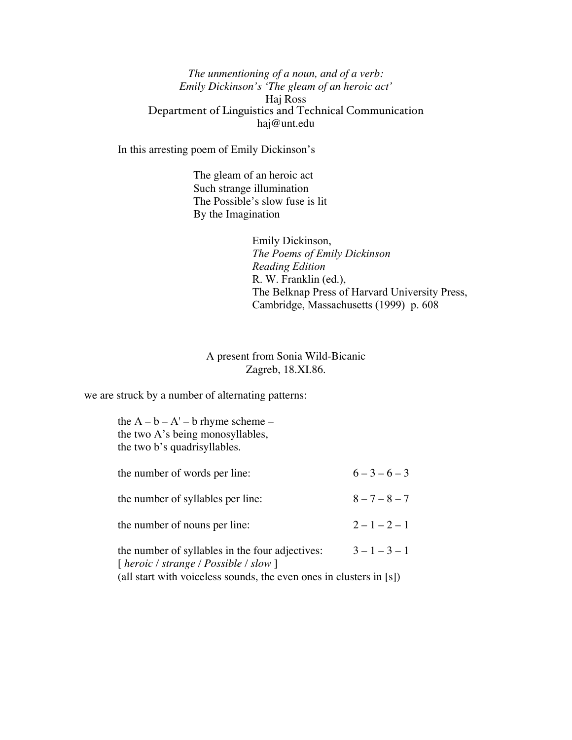*The unmentioning of a noun, and of a verb: Emily Dickinson's 'The gleam of an heroic act'* Haj Ross Department of Linguistics and Technical Communication haj@unt.edu

In this arresting poem of Emily Dickinson's

The gleam of an heroic act Such strange illumination The Possible's slow fuse is lit By the Imagination

> Emily Dickinson, *The Poems of Emily Dickinson Reading Edition* R. W. Franklin (ed.), The Belknap Press of Harvard University Press, Cambridge, Massachusetts (1999) p. 608

## A present from Sonia Wild-Bicanic Zagreb, 18.XI.86.

we are struck by a number of alternating patterns:

| the $A - b - A' - b$ rhyme scheme –<br>the two A's being monosyllables,<br>the two b's quadrisyllables.                                                                                                                                    |                 |
|--------------------------------------------------------------------------------------------------------------------------------------------------------------------------------------------------------------------------------------------|-----------------|
| the number of words per line:                                                                                                                                                                                                              | $6 - 3 - 6 - 3$ |
| the number of syllables per line:                                                                                                                                                                                                          | $8 - 7 - 8 - 7$ |
| the number of nouns per line:                                                                                                                                                                                                              | $2 - 1 - 2 - 1$ |
| the number of syllables in the four adjectives:<br>$[ \text{ \textit{heroic} } / \text{ \textit{strange} } / \text{ \textit{Possible} } / \text{ \textit{slow} } ]$<br>(all start with voiceless sounds, the even ones in clusters in [s]) | $3 - 1 - 3 - 1$ |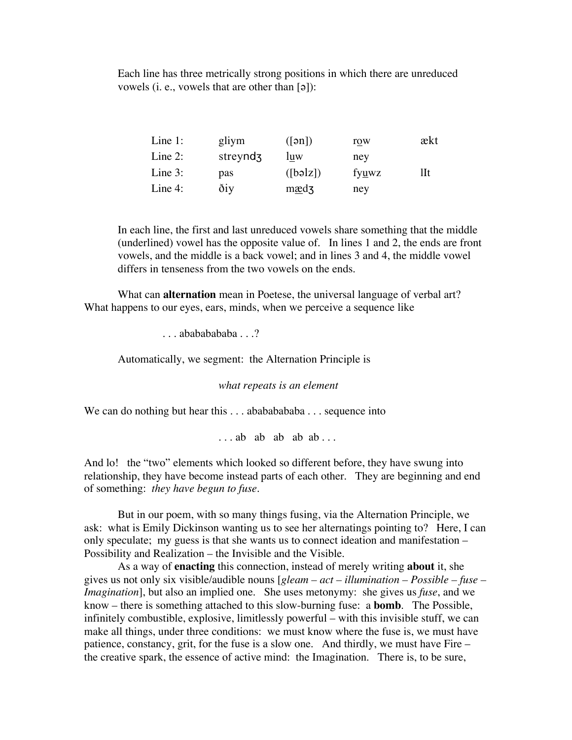Each line has three metrically strong positions in which there are unreduced vowels (i. e., vowels that are other than  $[9]$ ):

| Line $1$ : | gliym                | $(\lceil \mathsf{an} \rceil)$ | row   | ækt |
|------------|----------------------|-------------------------------|-------|-----|
| Line $2$ : | streynd <sub>3</sub> | luw                           | ney   |     |
| Line $3:$  | pas                  | ([bəlz])                      | fyuwz | Шt  |
| Line 4:    | ðiy                  | mædz                          | ney   |     |

In each line, the first and last unreduced vowels share something that the middle (underlined) vowel has the opposite value of. In lines 1 and 2, the ends are front vowels, and the middle is a back vowel; and in lines 3 and 4, the middle vowel differs in tenseness from the two vowels on the ends.

What can **alternation** mean in Poetese, the universal language of verbal art? What happens to our eyes, ears, minds, when we perceive a sequence like

 $\ldots$  ababababaha  $\ldots$ ?

Automatically, we segment: the Alternation Principle is

*what repeats is an element*

We can do nothing but hear this  $\dots$  abababababa  $\dots$  sequence into

 $\ldots$  ab ab ab ab  $\ldots$ 

And lo! the "two" elements which looked so different before, they have swung into relationship, they have become instead parts of each other. They are beginning and end of something: *they have begun to fuse*.

But in our poem, with so many things fusing, via the Alternation Principle, we ask: what is Emily Dickinson wanting us to see her alternatings pointing to? Here, I can only speculate; my guess is that she wants us to connect ideation and manifestation – Possibility and Realization – the Invisible and the Visible.

As a way of **enacting** this connection, instead of merely writing **about** it, she gives us not only six visible/audible nouns [*gleam – act – illumination – Possible – fuse – Imagination*], but also an implied one. She uses metonymy: she gives us *fuse*, and we know – there is something attached to this slow-burning fuse: a **bomb**. The Possible, infinitely combustible, explosive, limitlessly powerful – with this invisible stuff, we can make all things, under three conditions: we must know where the fuse is, we must have patience, constancy, grit, for the fuse is a slow one. And thirdly, we must have Fire – the creative spark, the essence of active mind: the Imagination. There is, to be sure,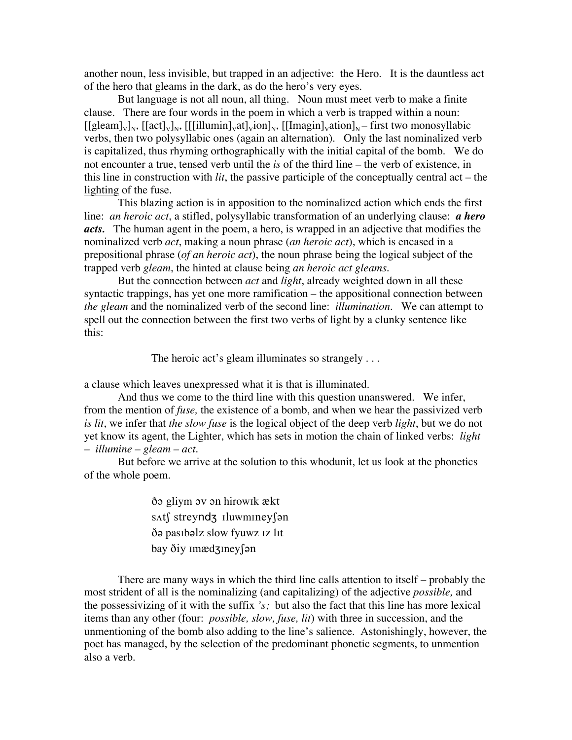another noun, less invisible, but trapped in an adjective: the Hero. It is the dauntless act of the hero that gleams in the dark, as do the hero's very eyes.

But language is not all noun, all thing. Noun must meet verb to make a finite clause. There are four words in the poem in which a verb is trapped within a noun:  $[[\text{gleam}]_{V}]_{N}$ ,  $[[\text{act}]_{V}]_{N}$ ,  $[[\text{illumin}]_{V}$ at $[\text{vin}]_{N}$ ,  $[[\text{Imagin}]_{V}$ ation $]_{N}$  – first two monosyllabic verbs, then two polysyllabic ones (again an alternation). Only the last nominalized verb is capitalized, thus rhyming orthographically with the initial capital of the bomb. We do not encounter a true, tensed verb until the *is* of the third line – the verb of existence, in this line in construction with *lit*, the passive participle of the conceptually central act – the lighting of the fuse.

This blazing action is in apposition to the nominalized action which ends the first line: *an heroic act*, a stifled, polysyllabic transformation of an underlying clause: *a hero acts.* The human agent in the poem, a hero, is wrapped in an adjective that modifies the nominalized verb *act*, making a noun phrase (*an heroic act*), which is encased in a prepositional phrase (*of an heroic act*), the noun phrase being the logical subject of the trapped verb *gleam*, the hinted at clause being *an heroic act gleams.*

But the connection between *act* and *light*, already weighted down in all these syntactic trappings, has yet one more ramification – the appositional connection between *the gleam* and the nominalized verb of the second line: *illumination.* We can attempt to spell out the connection between the first two verbs of light by a clunky sentence like this:

The heroic act's gleam illuminates so strangely . . .

a clause which leaves unexpressed what it is that is illuminated.

And thus we come to the third line with this question unanswered. We infer, from the mention of *fuse,* the existence of a bomb, and when we hear the passivized verb *is lit*, we infer that *the slow fuse* is the logical object of the deep verb *light*, but we do not yet know its agent, the Lighter, which has sets in motion the chain of linked verbs: *light – illumine – gleam – act.*

But before we arrive at the solution to this whodunit, let us look at the phonetics of the whole poem.

> do gliym ov on hirowik ækt s∧t∫ streyndz Iluwminey∫ən do pasibolz slow fyuwz iz lit bay ðiy Imædzineyson

There are many ways in which the third line calls attention to itself – probably the most strident of all is the nominalizing (and capitalizing) of the adjective *possible,* and the possessivizing of it with the suffix *'s;* but also the fact that this line has more lexical items than any other (four: *possible, slow, fuse, lit*) with three in succession, and the unmentioning of the bomb also adding to the line's salience. Astonishingly, however, the poet has managed, by the selection of the predominant phonetic segments, to unmention also a verb.